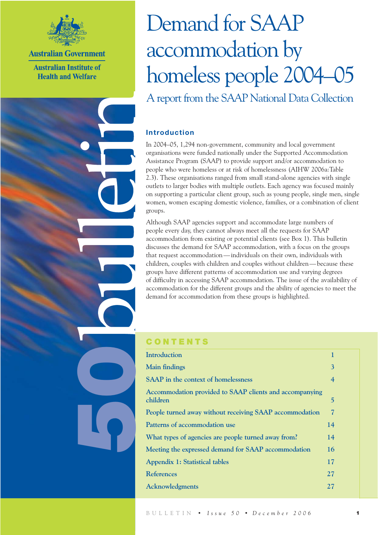

**Australian Government** 

**Australian Institute of Health and Welfare** 

# Demand for SAAP accommodation by homeless people 2004–05 A report from the SAAP National Data Collection

## **Introduction**

In 2004–05, 1,294 non-government, community and local government organisations were funded nationally under the Supported Accommodation Assistance Program (SAAP) to provide support and/or accommodation to people who were homeless or at risk of homelessness (AIHW 2006a:Table 2.3). These organisations ranged from small stand-alone agencies with single outlets to larger bodies with multiple outlets. Each agency was focused mainly on supporting a particular client group, such as young people, single men, single women, women escaping domestic violence, families, or a combination of client groups.

Although SAAP agencies support and accommodate large numbers of people every day, they cannot always meet all the requests for SAAP accommodation from existing or potential clients (see Box 1). This bulletin discusses the demand for SAAP accommodation, with a focus on the groups that request accommodation— individuals on their own, individuals with children, couples with children and couples without children— because these groups have different patterns of accommodation use and varying degrees of difficulty in accessing SAAP accommodation. The issue of the availability of accommodation for the different groups and the ability of agencies to meet the demand for accommodation from these groups is highlighted.

## **CONTENTS**

6

| Introduction                                                        | 1  |
|---------------------------------------------------------------------|----|
| <b>Main findings</b>                                                | 3  |
| <b>SAAP</b> in the context of homelessness                          | 4  |
| Accommodation provided to SAAP clients and accompanying<br>children | 5  |
| People turned away without receiving SAAP accommodation             | 7  |
| Patterns of accommodation use                                       | 14 |
| What types of agencies are people turned away from?                 | 14 |
| Meeting the expressed demand for SAAP accommodation                 | 16 |
| <b>Appendix 1: Statistical tables</b>                               | 17 |
| <b>References</b>                                                   | 27 |
| Acknowledgments                                                     | 27 |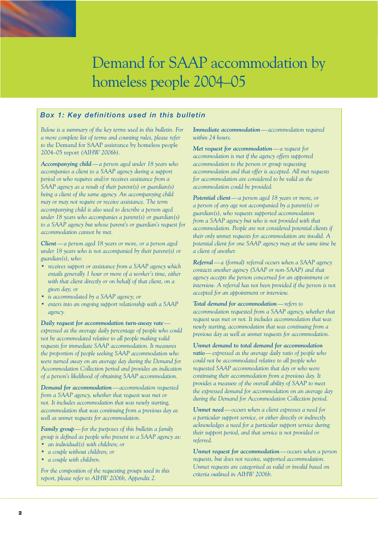## *Box 1: Key definitions used in this bulletin*

*Below is a summary of the key terms used in this bulletin. For a more complete list of terms and counting rules, please refer to the* Demand for SAAP assistance by homeless people 2004–05 report *(AIHW 2006b).*

*Accompanying child— a person aged under 18 years who accompanies a client to a SAAP agency during a support period or who requires and/or receives assistance from a SAAP agency as a result of their parent(s) or guardian(s) being a client of the same agency. An accompanying child may or may not require or receive assistance. The term accompanying child is also used to describe a person aged under 18 years who accompanies a parent(s) or guardian(s) to a SAAP agency but whose parent's or guardian's request for accommodation cannot be met.*

*Client— a person aged 18 years or more, or a person aged under 18 years who is not accompanied by their parent(s) or guardian(s), who:*

- *receives support or assistance from a SAAP agency which entails generally 1 hour or more of a worker's time, either with that client directly or on behalf of that client, on a given day; or*
- *is accommodated by a SAAP agency; or*
- *enters into an ongoing support relationship with a SAAP agency.*

*Daily request for accommodation turn-away rate expressed as the average daily percentage of people who could not be accommodated relative to all people making valid requests for immediate SAAP accommodation. It measures the proportion of people seeking SAAP accommodation who were turned away on an average day during the Demand for Accommodation Collection period and provides an indication of a person's likelihood of obtaining SAAP accommodation.*

*Demand for accommodation— accommodation requested from a SAAP agency, whether that request was met or not. It includes accommodation that was newly starting, accommodation that was continuing from a previous day as well as unmet requests for accommodation.*

*Family group— for the purposes of this bulletin a family group is defined as people who present to a SAAP agency as: • an individual(s) with children; or*

- *a couple without children; or*
- *a couple with children.*

*For the composition of the requesting groups used in this report, please refer to AIHW 2006b, Appendix 2.*

*Immediate accommodation— accommodation required within 24 hours.*

*Met request for accommodation— a request for accommodation is met if the agency offers supported accommodation to the person or group requesting accommodation and that offer is accepted. All met requests for accommodation are considered to be valid as the accommodation could be provided.*

*Potential client— a person aged 18 years or more, or a person of any age not accompanied by a parent(s) or guardian(s), who requests supported accommodation from a SAAP agency but who is not provided with that accommodation. People are not considered potential clients if their only unmet requests for accommodation are invalid. A potential client for one SAAP agency may at the same time be a client of another.*

*Referral— a (formal) referral occurs when a SAAP agency contacts another agency (SAAP or non-SAAP) and that agency accepts the person concerned for an appointment or interview. A referral has not been provided if the person is not accepted for an appointment or interview.*

*Total demand for accommodation— refers to accommodation requested from a SAAP agency, whether that request was met or not. It includes accommodation that was newly starting, accommodation that was continuing from a previous day as well as unmet requests for accommodation.*

*Unmet demand to total demand for accommodation ratio— expressed as the average daily ratio of people who could not be accommodated relative to all people who requested SAAP accommodation that day or who were continuing their accommodation from a previous day. It provides a measure of the overall ability of SAAP to meet the expressed demand for accommodation on an average day during the Demand for Accommodation Collection period.*

*Unmet need— occurs when a client expresses a need for a particular support service, or either directly or indirectly acknowledges a need for a particular support service during their support period, and that service is not provided or referred.*

*Unmet request for accommodation— occurs when a person requests, but does not receive, supported accommodation. Unmet requests are categorised as valid or invalid based on criteria outlined in AIHW 2006b.*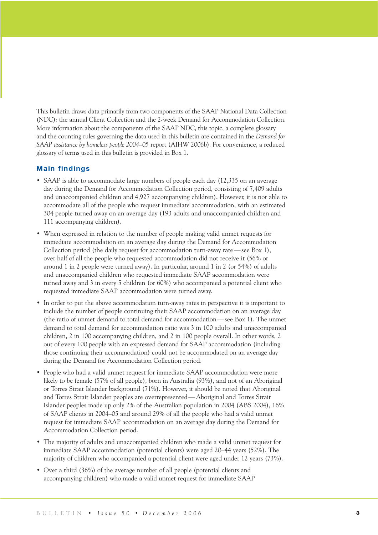This bulletin draws data primarily from two components of the SAAP National Data Collection (NDC): the annual Client Collection and the 2-week Demand for Accommodation Collection. More information about the components of the SAAP NDC, this topic, a complete glossary and the counting rules governing the data used in this bulletin are contained in the *Demand for SAAP assistance by homeless people 2004–05* report (AIHW 2006b). For convenience, a reduced glossary of terms used in this bulletin is provided in Box 1.

## **Main findings**

- SAAP is able to accommodate large numbers of people each day (12,335 on an average day during the Demand for Accommodation Collection period, consisting of 7,409 adults and unaccompanied children and 4,927 accompanying children). However, it is not able to accommodate all of the people who request immediate accommodation, with an estimated 304 people turned away on an average day (193 adults and unaccompanied children and 111 accompanying children).
- When expressed in relation to the number of people making valid unmet requests for immediate accommodation on an average day during the Demand for Accommodation Collection period (the daily request for accommodation turn-away rate— see Box 1), over half of all the people who requested accommodation did not receive it (56% or around 1 in 2 people were turned away). In particular, around 1 in 2 (or 54%) of adults and unaccompanied children who requested immediate SAAP accommodation were turned away and 3 in every 5 children (or 60%) who accompanied a potential client who requested immediate SAAP accommodation were turned away.
- In order to put the above accommodation turn-away rates in perspective it is important to include the number of people continuing their SAAP accommodation on an average day (the ratio of unmet demand to total demand for accommodation— see Box 1). The unmet demand to total demand for accommodation ratio was 3 in 100 adults and unaccompanied children, 2 in 100 accompanying children, and 2 in 100 people overall. In other words, 2 out of every 100 people with an expressed demand for SAAP accommodation (including those continuing their accommodation) could not be accommodated on an average day during the Demand for Accommodation Collection period.
- People who had a valid unmet request for immediate SAAP accommodation were more likely to be female (57% of all people), born in Australia (93%), and not of an Aboriginal or Torres Strait Islander background (71%). However, it should be noted that Aboriginal and Torres Strait Islander peoples are overrepresented— Aboriginal and Torres Strait Islander peoples made up only 2% of the Australian population in 2004 (ABS 2004), 16% of SAAP clients in 2004–05 and around 29% of all the people who had a valid unmet request for immediate SAAP accommodation on an average day during the Demand for Accommodation Collection period.
- The majority of adults and unaccompanied children who made a valid unmet request for immediate SAAP accommodation (potential clients) were aged 20–44 years (52%). The majority of children who accompanied a potential client were aged under 12 years (73%).
- Over a third (36%) of the average number of all people (potential clients and accompanying children) who made a valid unmet request for immediate SAAP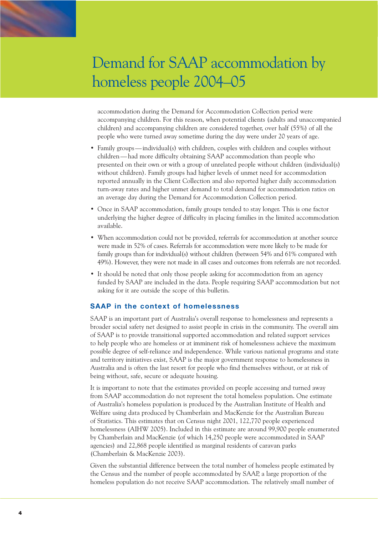accommodation during the Demand for Accommodation Collection period were accompanying children. For this reason, when potential clients (adults and unaccompanied children) and accompanying children are considered together, over half (55%) of all the people who were turned away sometime during the day were under 20 years of age.

- Family groups individual(s) with children, couples with children and couples without children — had more difficulty obtaining SAAP accommodation than people who presented on their own or with a group of unrelated people without children (individual(s) without children). Family groups had higher levels of unmet need for accommodation reported annually in the Client Collection and also reported higher daily accommodation turn-away rates and higher unmet demand to total demand for accommodation ratios on an average day during the Demand for Accommodation Collection period.
- Once in SAAP accommodation, family groups tended to stay longer. This is one factor underlying the higher degree of difficulty in placing families in the limited accommodation available.
- When accommodation could not be provided, referrals for accommodation at another source were made in 52% of cases. Referrals for accommodation were more likely to be made for family groups than for individual(s) without children (between 54% and 61% compared with 49%). However, they were not made in all cases and outcomes from referrals are not recorded.
- It should be noted that only those people asking for accommodation from an agency funded by SAAP are included in the data. People requiring SAAP accommodation but not asking for it are outside the scope of this bulletin.

## **SAAP in the context of homelessness**

SAAP is an important part of Australia's overall response to homelessness and represents a broader social safety net designed to assist people in crisis in the community. The overall aim of SAAP is to provide transitional supported accommodation and related support services to help people who are homeless or at imminent risk of homelessness achieve the maximum possible degree of self-reliance and independence. While various national programs and state and territory initiatives exist, SAAP is the major government response to homelessness in Australia and is often the last resort for people who find themselves without, or at risk of being without, safe, secure or adequate housing.

It is important to note that the estimates provided on people accessing and turned away from SAAP accommodation do not represent the total homeless population. One estimate of Australia's homeless population is produced by the Australian Institute of Health and Welfare using data produced by Chamberlain and MacKenzie for the Australian Bureau of Statistics. This estimates that on Census night 2001, 122,770 people experienced homelessness (AIHW 2005). Included in this estimate are around 99,900 people enumerated by Chamberlain and MacKenzie (of which 14,250 people were accommodated in SAAP agencies) and 22,868 people identified as marginal residents of caravan parks (Chamberlain & MacKenzie 2003).

Given the substantial difference between the total number of homeless people estimated by the Census and the number of people accommodated by SAAP, a large proportion of the homeless population do not receive SAAP accommodation. The relatively small number of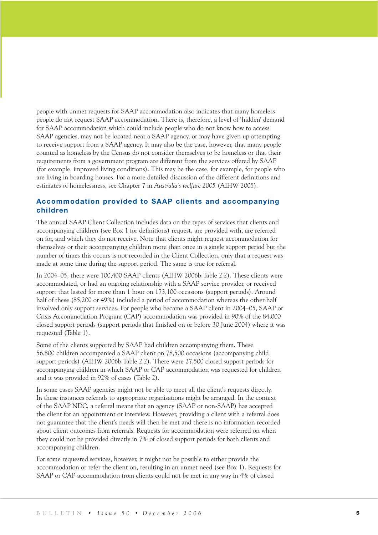people with unmet requests for SAAP accommodation also indicates that many homeless people do not request SAAP accommodation. There is, therefore, a level of 'hidden' demand for SAAP accommodation which could include people who do not know how to access SAAP agencies, may not be located near a SAAP agency, or may have given up attempting to receive support from a SAAP agency. It may also be the case, however, that many people counted as homeless by the Census do not consider themselves to be homeless or that their requirements from a government program are different from the services offered by SAAP (for example, improved living conditions). This may be the case, for example, for people who are living in boarding houses. For a more detailed discussion of the different definitions and estimates of homelessness, see Chapter 7 in *Australia's welfare 2005* (AIHW 2005).

## **Accommodation provided to SAAP clients and accompanying children**

The annual SAAP Client Collection includes data on the types of services that clients and accompanying children (see Box 1 for definitions) request, are provided with, are referred on for, and which they do not receive. Note that clients might request accommodation for themselves or their accompanying children more than once in a single support period but the number of times this occurs is not recorded in the Client Collection, only that a request was made at some time during the support period. The same is true for referral.

In 2004–05, there were 100,400 SAAP clients (AIHW 2006b:Table 2.2). These clients were accommodated, or had an ongoing relationship with a SAAP service provider, or received support that lasted for more than 1 hour on 173,100 occasions (support periods). Around half of these (85,200 or 49%) included a period of accommodation whereas the other half involved only support services. For people who became a SAAP client in 2004–05, SAAP or Crisis Accommodation Program (CAP) accommodation was provided in 90% of the 84,000 closed support periods (support periods that finished on or before 30 June 2004) where it was requested (Table 1).

Some of the clients supported by SAAP had children accompanying them. These 56,800 children accompanied a SAAP client on 78,500 occasions (accompanying child support periods) (AIHW 2006b:Table 2.2). There were 27,500 closed support periods for accompanying children in which SAAP or CAP accommodation was requested for children and it was provided in 92% of cases (Table 2).

In some cases SAAP agencies might not be able to meet all the client's requests directly. In these instances referrals to appropriate organisations might be arranged. In the context of the SAAP NDC, a referral means that an agency (SAAP or non-SAAP) has accepted the client for an appointment or interview. However, providing a client with a referral does not guarantee that the client's needs will then be met and there is no information recorded about client outcomes from referrals. Requests for accommodation were referred on when they could not be provided directly in 7% of closed support periods for both clients and accompanying children.

For some requested services, however, it might not be possible to either provide the accommodation or refer the client on, resulting in an unmet need (see Box 1). Requests for SAAP or CAP accommodation from clients could not be met in any way in 4% of closed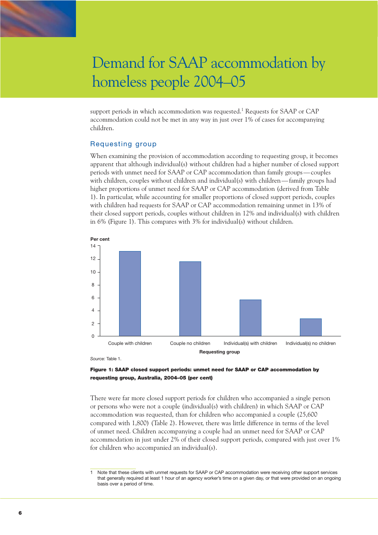support periods in which accommodation was requested.<sup>1</sup> Requests for SAAP or CAP accommodation could not be met in any way in just over 1% of cases for accompanying children.

## Requesting group

When examining the provision of accommodation according to requesting group, it becomes apparent that although individual(s) without children had a higher number of closed support periods with unmet need for SAAP or CAP accommodation than family groups— couples with children, couples without children and individual(s) with children— family groups had higher proportions of unmet need for SAAP or CAP accommodation (derived from Table 1). In particular, while accounting for smaller proportions of closed support periods, couples with children had requests for SAAP or CAP accommodation remaining unmet in 13% of their closed support periods, couples without children in 12% and individual(s) with children in 6% (Figure 1). This compares with 3% for individual(s) without children.



*Source:* Table 1.



There were far more closed support periods for children who accompanied a single person or persons who were not a couple (individual(s) with children) in which SAAP or CAP accommodation was requested, than for children who accompanied a couple (25,600 compared with 1,800) (Table 2). However, there was little difference in terms of the level of unmet need. Children accompanying a couple had an unmet need for SAAP or CAP accommodation in just under 2% of their closed support periods, compared with just over 1% for children who accompanied an individual(s).

<sup>1</sup> Note that these clients with unmet requests for SAAP or CAP accommodation were receiving other support services that generally required at least 1 hour of an agency worker's time on a given day, or that were provided on an ongoing basis over a period of time.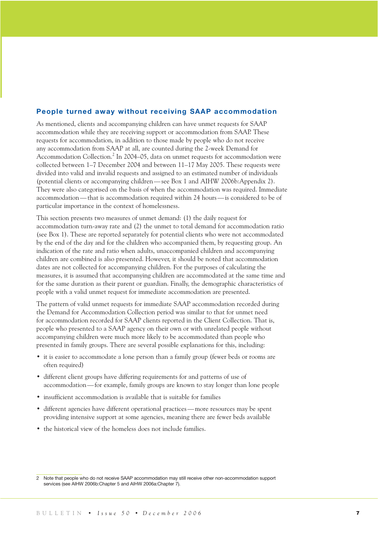### **People turned away without receiving SAAP accommodation**

As mentioned, clients and accompanying children can have unmet requests for SAAP accommodation while they are receiving support or accommodation from SAAP. These requests for accommodation, in addition to those made by people who do not receive any accommodation from SAAP at all, are counted during the 2-week Demand for Accommodation Collection.<sup>2</sup> In 2004–05, data on unmet requests for accommodation were collected between 1–7 December 2004 and between 11–17 May 2005. These requests were divided into valid and invalid requests and assigned to an estimated number of individuals (potential clients or accompanying children— see Box 1 and AIHW 2006b:Appendix 2). They were also categorised on the basis of when the accommodation was required. Immediate accommodation — that is accommodation required within 24 hours— is considered to be of particular importance in the context of homelessness.

This section presents two measures of unmet demand: (1) the daily request for accommodation turn-away rate and (2) the unmet to total demand for accommodation ratio (see Box 1). These are reported separately for potential clients who were not accommodated by the end of the day and for the children who accompanied them, by requesting group. An indication of the rate and ratio when adults, unaccompanied children and accompanying children are combined is also presented. However, it should be noted that accommodation dates are not collected for accompanying children. For the purposes of calculating the measures, it is assumed that accompanying children are accommodated at the same time and for the same duration as their parent or guardian. Finally, the demographic characteristics of people with a valid unmet request for immediate accommodation are presented.

The pattern of valid unmet requests for immediate SAAP accommodation recorded during the Demand for Accommodation Collection period was similar to that for unmet need for accommodation recorded for SAAP clients reported in the Client Collection. That is, people who presented to a SAAP agency on their own or with unrelated people without accompanying children were much more likely to be accommodated than people who presented in family groups. There are several possible explanations for this, including:

- it is easier to accommodate a lone person than a family group (fewer beds or rooms are often required)
- different client groups have differing requirements for and patterns of use of accommodation — for example, family groups are known to stay longer than lone people
- insufficient accommodation is available that is suitable for families
- different agencies have different operational practices— more resources may be spent providing intensive support at some agencies, meaning there are fewer beds available
- the historical view of the homeless does not include families.

<sup>2</sup> Note that people who do not receive SAAP accommodation may still receive other non-accommodation support services (see AIHW 2006b:Chapter 5 and AIHW 2006a:Chapter 7).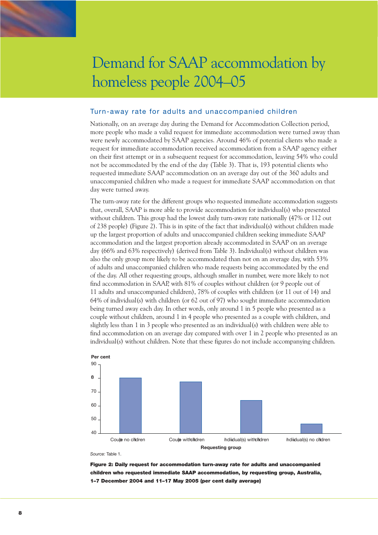

### Turn-away rate for adults and unaccompanied children

Nationally, on an average day during the Demand for Accommodation Collection period, more people who made a valid request for immediate accommodation were turned away than were newly accommodated by SAAP agencies. Around 46% of potential clients who made a request for immediate accommodation received accommodation from a SAAP agency either on their first attempt or in a subsequent request for accommodation, leaving 54% who could not be accommodated by the end of the day (Table 3). That is, 193 potential clients who requested immediate SAAP accommodation on an average day out of the 360 adults and unaccompanied children who made a request for immediate SAAP accommodation on that day were turned away.

The turn-away rate for the different groups who requested immediate accommodation suggests that, overall, SAAP is more able to provide accommodation for individual(s) who presented without children. This group had the lowest daily turn-away rate nationally (47% or 112 out of 238 people) (Figure 2). This is in spite of the fact that individual(s) without children made up the largest proportion of adults and unaccompanied children seeking immediate SAAP accommodation and the largest proportion already accommodated in SAAP on an average day (66% and 63% respectively) (derived from Table 3). Individual(s) without children was also the only group more likely to be accommodated than not on an average day, with 53% of adults and unaccompanied children who made requests being accommodated by the end of the day. All other requesting groups, although smaller in number, were more likely to not find accommodation in SAAP, with 81% of couples without children (or 9 people out of 11 adults and unaccompanied children), 78% of couples with children (or 11 out of 14) and 64% of individual(s) with children (or 62 out of 97) who sought immediate accommodation being turned away each day. In other words, only around 1 in 5 people who presented as a couple without children, around 1 in 4 people who presented as a couple with children, and slightly less than 1 in 3 people who presented as an individual(s) with children were able to find accommodation on an average day compared with over 1 in 2 people who presented as an individual(s) without children. Note that these figures do not include accompanying children.



*Source:* Table 1.

Figure 2: Daily request for accommodation turn-away rate for adults and unaccompanied children who requested immediate SAAP accommodation, by requesting group, Australia, 1–7 December 2004 and 11–17 May 2005 (per cent daily average)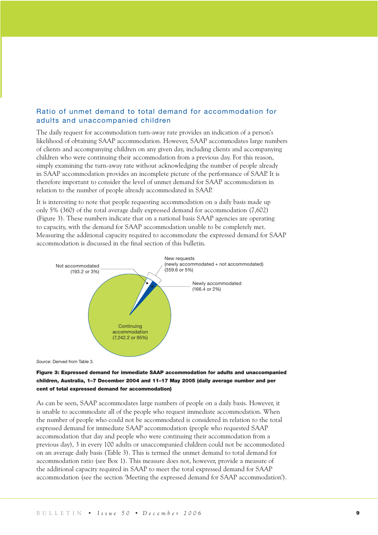## Ratio of unmet demand to total demand for accommodation for adults and unaccompanied children

The daily request for accommodation turn-away rate provides an indication of a person's likelihood of obtaining SAAP accommodation. However, SAAP accommodates large numbers of clients and accompanying children on any given day, including clients and accompanying children who were continuing their accommodation from a previous day. For this reason, simply examining the turn-away rate without acknowledging the number of people already in SAAP accommodation provides an incomplete picture of the performance of SAAP. It is therefore important to consider the level of unmet demand for SAAP accommodation in relation to the number of people already accommodated in SAAP.

It is interesting to note that people requesting accommodation on a daily basis made up only 5% (360) of the total average daily expressed demand for accommodation (7,602) (Figure 3). These numbers indicate that on a national basis SAAP agencies are operating to capacity, with the demand for SAAP accommodation unable to be completely met. Measuring the additional capacity required to accommodate the expressed demand for SAAP accommodation is discussed in the final section of this bulletin.



*Source:* Derived from Table 3.

### Figure 3: Expressed demand for immediate SAAP accommodation for adults and unaccompanied children, Australia, 1–7 December 2004 and 11–17 May 2005 (daily average number and per cent of total expressed demand for accommodation)

As can be seen, SAAP accommodates large numbers of people on a daily basis. However, it is unable to accommodate all of the people who request immediate accommodation. When the number of people who could not be accommodated is considered in relation to the total expressed demand for immediate SAAP accommodation (people who requested SAAP accommodation that day and people who were continuing their accommodation from a previous day), 3 in every 100 adults or unaccompanied children could not be accommodated on an average daily basis (Table 3). This is termed the unmet demand to total demand for accommodation ratio (see Box 1). This measure does not, however, provide a measure of the additional capacity required in SAAP to meet the total expressed demand for SAAP accommodation (see the section 'Meeting the expressed demand for SAAP accommodation').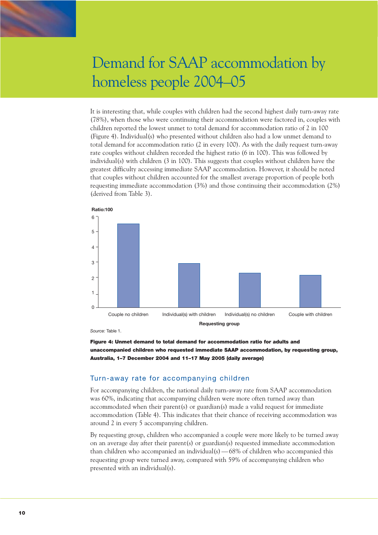It is interesting that, while couples with children had the second highest daily turn-away rate (78%), when those who were continuing their accommodation were factored in, couples with children reported the lowest unmet to total demand for accommodation ratio of 2 in 100 (Figure 4). Individual(s) who presented without children also had a low unmet demand to total demand for accommodation ratio (2 in every 100). As with the daily request turn-away rate couples without children recorded the highest ratio (6 in 100). This was followed by  $individual(s)$  with children  $(3 \text{ in } 100)$ . This suggests that couples without children have the greatest difficulty accessing immediate SAAP accommodation. However, it should be noted that couples without children accounted for the smallest average proportion of people both requesting immediate accommodation (3%) and those continuing their accommodation (2%) (derived from Table 3).



*Source:* Table 1.



## Turn-away rate for accompanying children

For accompanying children, the national daily turn-away rate from SAAP accommodation was 60%, indicating that accompanying children were more often turned away than accommodated when their parent(s) or guardian(s) made a valid request for immediate accommodation (Table 4). This indicates that their chance of receiving accommodation was around 2 in every 5 accompanying children.

By requesting group, children who accompanied a couple were more likely to be turned away on an average day after their parent(s) or guardian(s) requested immediate accommodation than children who accompanied an individual(s)— 68% of children who accompanied this requesting group were turned away, compared with 59% of accompanying children who presented with an individual(s).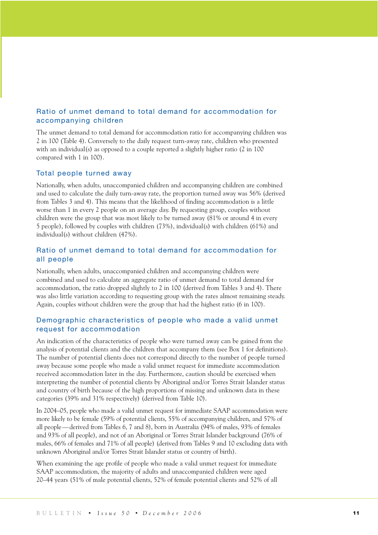## Ratio of unmet demand to total demand for accommodation for accompanying children

The unmet demand to total demand for accommodation ratio for accompanying children was 2 in 100 (Table 4). Conversely to the daily request turn-away rate, children who presented with an individual(s) as opposed to a couple reported a slightly higher ratio (2 in 100 compared with 1 in 100).

### Total people turned away

Nationally, when adults, unaccompanied children and accompanying children are combined and used to calculate the daily turn-away rate, the proportion turned away was 56% (derived from Tables 3 and 4). This means that the likelihood of finding accommodation is a little worse than 1 in every 2 people on an average day. By requesting group, couples without children were the group that was most likely to be turned away (81% or around 4 in every 5 people), followed by couples with children (73%), individual(s) with children (61%) and individual(s) without children (47%).

## Ratio of unmet demand to total demand for accommodation for all people

Nationally, when adults, unaccompanied children and accompanying children were combined and used to calculate an aggregate ratio of unmet demand to total demand for accommodation, the ratio dropped slightly to 2 in 100 (derived from Tables 3 and 4). There was also little variation according to requesting group with the rates almost remaining steady. Again, couples without children were the group that had the highest ratio (6 in 100).

## Demographic characteristics of people who made a valid unmet request for accommodation

An indication of the characteristics of people who were turned away can be gained from the analysis of potential clients and the children that accompany them (see Box 1 for definitions). The number of potential clients does not correspond directly to the number of people turned away because some people who made a valid unmet request for immediate accommodation received accommodation later in the day. Furthermore, caution should be exercised when interpreting the number of potential clients by Aboriginal and/or Torres Strait Islander status and country of birth because of the high proportions of missing and unknown data in these categories (39% and 31% respectively) (derived from Table 10).

In 2004–05, people who made a valid unmet request for immediate SAAP accommodation were more likely to be female (59% of potential clients, 55% of accompanying children, and 57% of all people—derived from Tables 6, 7 and 8), born in Australia (94% of males, 93% of females and 93% of all people), and not of an Aboriginal or Torres Strait Islander background (76% of males, 66% of females and 71% of all people) (derived from Tables 9 and 10 excluding data with unknown Aboriginal and/or Torres Strait Islander status or country of birth).

When examining the age profile of people who made a valid unmet request for immediate SAAP accommodation, the majority of adults and unaccompanied children were aged 20–44 years (51% of male potential clients, 52% of female potential clients and 52% of all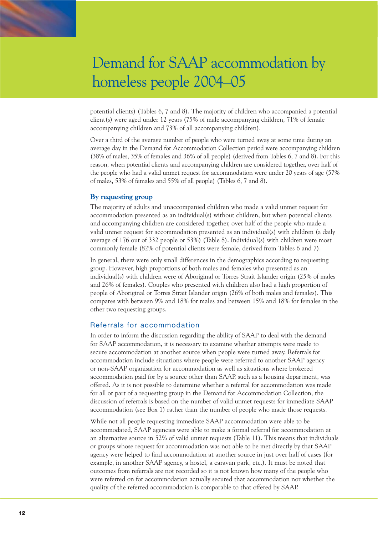potential clients) (Tables 6, 7 and 8). The majority of children who accompanied a potential client(s) were aged under 12 years (75% of male accompanying children, 71% of female accompanying children and 73% of all accompanying children).

Over a third of the average number of people who were turned away at some time during an average day in the Demand for Accommodation Collection period were accompanying children (38% of males, 35% of females and 36% of all people) (derived from Tables 6, 7 and 8). For this reason, when potential clients and accompanying children are considered together, over half of the people who had a valid unmet request for accommodation were under 20 years of age (57% of males, 53% of females and 55% of all people) (Tables 6, 7 and 8).

**By requesting group** The majority of adults and unaccompanied children who made a valid unmet request for accommodation presented as an individual(s) without children, but when potential clients and accompanying children are considered together, over half of the people who made a valid unmet request for accommodation presented as an individual(s) with children (a daily average of 176 out of 332 people or 53%) (Table 8). Individual(s) with children were most commonly female (82% of potential clients were female, derived from Tables 6 and 7).

In general, there were only small differences in the demographics according to requesting group. However, high proportions of both males and females who presented as an individual(s) with children were of Aboriginal or Torres Strait Islander origin (25% of males and 26% of females). Couples who presented with children also had a high proportion of people of Aboriginal or Torres Strait Islander origin (26% of both males and females). This compares with between 9% and 18% for males and between 15% and 18% for females in the other two requesting groups.

## Referrals for accommodation

In order to inform the discussion regarding the ability of SAAP to deal with the demand for SAAP accommodation, it is necessary to examine whether attempts were made to secure accommodation at another source when people were turned away. Referrals for accommodation include situations where people were referred to another SAAP agency or non-SAAP organisation for accommodation as well as situations where brokered accommodation paid for by a source other than SAAP, such as a housing department, was offered. As it is not possible to determine whether a referral for accommodation was made for all or part of a requesting group in the Demand for Accommodation Collection, the discussion of referrals is based on the number of valid unmet requests for immediate SAAP accommodation (see Box 1) rather than the number of people who made those requests.

While not all people requesting immediate SAAP accommodation were able to be accommodated, SAAP agencies were able to make a formal referral for accommodation at an alternative source in 52% of valid unmet requests (Table 11). This means that individuals or groups whose request for accommodation was not able to be met directly by that SAAP agency were helped to find accommodation at another source in just over half of cases (for example, in another SAAP agency, a hostel, a caravan park, etc.). It must be noted that outcomes from referrals are not recorded so it is not known how many of the people who were referred on for accommodation actually secured that accommodation nor whether the quality of the referred accommodation is comparable to that offered by SAAP.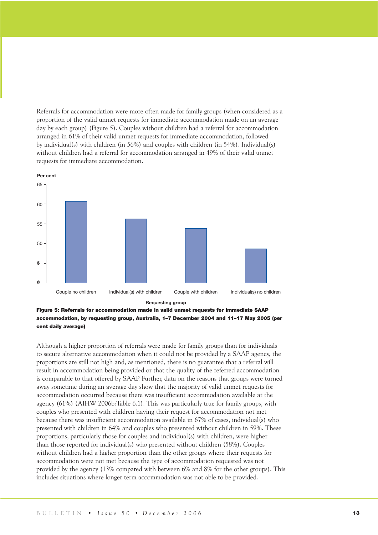Referrals for accommodation were more often made for family groups (when considered as a proportion of the valid unmet requests for immediate accommodation made on an average day by each group) (Figure 5). Couples without children had a referral for accommodation arranged in 61% of their valid unmet requests for immediate accommodation, followed by individual(s) with children (in 56%) and couples with children (in 54%). Individual(s) without children had a referral for accommodation arranged in 49% of their valid unmet requests for immediate accommodation.





Although a higher proportion of referrals were made for family groups than for individuals to secure alternative accommodation when it could not be provided by a SAAP agency, the proportions are still not high and, as mentioned, there is no guarantee that a referral will result in accommodation being provided or that the quality of the referred accommodation is comparable to that offered by SAAP. Further, data on the reasons that groups were turned away sometime during an average day show that the majority of valid unmet requests for accommodation occurred because there was insufficient accommodation available at the agency (61%) (AIHW 2006b:Table 6.1). This was particularly true for family groups, with couples who presented with children having their request for accommodation not met because there was insufficient accommodation available in 67% of cases, individual(s) who presented with children in 64% and couples who presented without children in 59%. These proportions, particularly those for couples and individual(s) with children, were higher than those reported for individual(s) who presented without children (58%). Couples without children had a higher proportion than the other groups where their requests for accommodation were not met because the type of accommodation requested was not provided by the agency (13% compared with between 6% and 8% for the other groups). This includes situations where longer term accommodation was not able to be provided.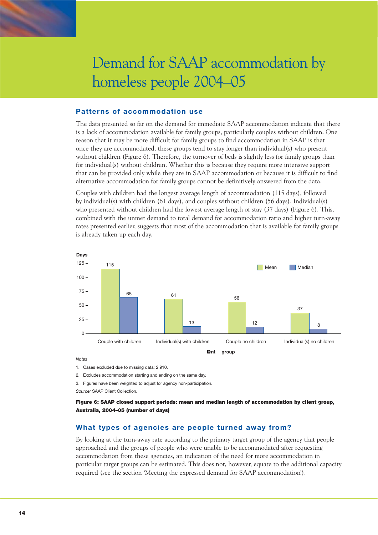

### **Patterns of accommodation use**

The data presented so far on the demand for immediate SAAP accommodation indicate that there is a lack of accommodation available for family groups, particularly couples without children. One reason that it may be more difficult for family groups to find accommodation in SAAP is that once they are accommodated, these groups tend to stay longer than individual(s) who present without children (Figure 6). Therefore, the turnover of beds is slightly less for family groups than for individual(s) without children. Whether this is because they require more intensive support that can be provided only while they are in SAAP accommodation or because it is difficult to find alternative accommodation for family groups cannot be definitively answered from the data.

Couples with children had the longest average length of accommodation (115 days), followed by individual(s) with children (61 days), and couples without children (56 days). Individual(s) who presented without children had the lowest average length of stay (37 days) (Figure 6). This, combined with the unmet demand to total demand for accommodation ratio and higher turn-away rates presented earlier, suggests that most of the accommodation that is available for family groups is already taken up each day.



### *Notes*

1. Cases excluded due to missing data: 2,910.

2. Excludes accommodation starting and ending on the same day.

3. Figures have been weighted to adjust for agency non-participation.

*Source:* SAAP Client Collection.

Figure 6: SAAP closed support periods: mean and median length of accommodation by client group, Australia, 2004–05 (number of days)

### **What types of agencies are people turned away from?**

By looking at the turn-away rate according to the primary target group of the agency that people approached and the groups of people who were unable to be accommodated after requesting accommodation from these agencies, an indication of the need for more accommodation in particular target groups can be estimated. This does not, however, equate to the additional capacity required (see the section 'Meeting the expressed demand for SAAP accommodation').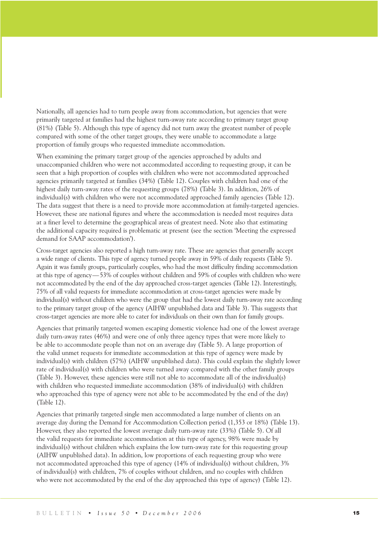Nationally, all agencies had to turn people away from accommodation, but agencies that were primarily targeted at families had the highest turn-away rate according to primary target group (81%) (Table 5). Although this type of agency did not turn away the greatest number of people compared with some of the other target groups, they were unable to accommodate a large proportion of family groups who requested immediate accommodation.

When examining the primary target group of the agencies approached by adults and unaccompanied children who were not accommodated according to requesting group, it can be seen that a high proportion of couples with children who were not accommodated approached agencies primarily targeted at families (34%) (Table 12). Couples with children had one of the highest daily turn-away rates of the requesting groups (78%) (Table 3). In addition, 26% of individual(s) with children who were not accommodated approached family agencies (Table 12). The data suggest that there is a need to provide more accommodation at family-targeted agencies. However, these are national figures and where the accommodation is needed most requires data at a finer level to determine the geographical areas of greatest need. Note also that estimating the additional capacity required is problematic at present (see the section 'Meeting the expressed demand for SAAP accommodation').

Cross-target agencies also reported a high turn-away rate. These are agencies that generally accept a wide range of clients. This type of agency turned people away in 59% of daily requests (Table 5). Again it was family groups, particularly couples, who had the most difficulty finding accommodation at this type of agency—53% of couples without children and 59% of couples with children who were not accommodated by the end of the day approached cross-target agencies (Table 12). Interestingly, 75% of all valid requests for immediate accommodation at cross-target agencies were made by individual(s) without children who were the group that had the lowest daily turn-away rate according to the primary target group of the agency (AIHW unpublished data and Table 3). This suggests that cross-target agencies are more able to cater for individuals on their own than for family groups.

Agencies that primarily targeted women escaping domestic violence had one of the lowest average daily turn-away rates (46%) and were one of only three agency types that were more likely to be able to accommodate people than not on an average day (Table 5). A large proportion of the valid unmet requests for immediate accommodation at this type of agency were made by individual(s) with children (57%) (AIHW unpublished data). This could explain the slightly lower rate of individual(s) with children who were turned away compared with the other family groups (Table 3). However, these agencies were still not able to accommodate all of the individual(s) with children who requested immediate accommodation (38% of individual(s) with children who approached this type of agency were not able to be accommodated by the end of the day) (Table 12).

Agencies that primarily targeted single men accommodated a large number of clients on an average day during the Demand for Accommodation Collection period (1,353 or 18%) (Table 13). However, they also reported the lowest average daily turn-away rate (33%) (Table 5). Of all the valid requests for immediate accommodation at this type of agency, 98% were made by individual(s) without children which explains the low turn-away rate for this requesting group (AIHW unpublished data). In addition, low proportions of each requesting group who were not accommodated approached this type of agency (14% of individual(s) without children, 3% of individual(s) with children, 7% of couples without children, and no couples with children who were not accommodated by the end of the day approached this type of agency) (Table 12).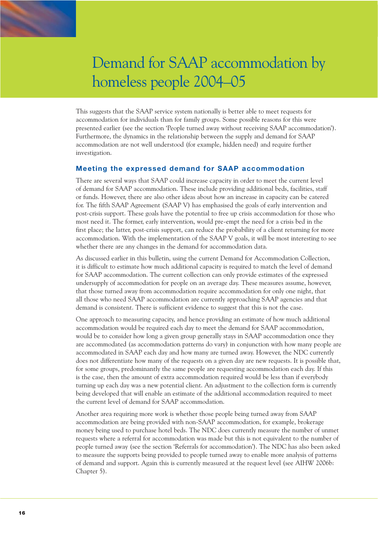

This suggests that the SAAP service system nationally is better able to meet requests for accommodation for individuals than for family groups. Some possible reasons for this were presented earlier (see the section 'People turned away without receiving SAAP accommodation'). Furthermore, the dynamics in the relationship between the supply and demand for SAAP accommodation are not well understood (for example, hidden need) and require further investigation.

## **Meeting the expressed demand for SAAP accommodation**

There are several ways that SAAP could increase capacity in order to meet the current level of demand for SAAP accommodation. These include providing additional beds, facilities, staff or funds. However, there are also other ideas about how an increase in capacity can be catered for. The fifth SAAP Agreement (SAAP V) has emphasised the goals of early intervention and post-crisis support. These goals have the potential to free up crisis accommodation for those who most need it. The former, early intervention, would pre-empt the need for a crisis bed in the first place; the latter, post-crisis support, can reduce the probability of a client returning for more accommodation. With the implementation of the SAAP V goals, it will be most interesting to see whether there are any changes in the demand for accommodation data.

As discussed earlier in this bulletin, using the current Demand for Accommodation Collection, it is difficult to estimate how much additional capacity is required to match the level of demand for SAAP accommodation. The current collection can only provide estimates of the expressed undersupply of accommodation for people on an average day. These measures assume, however, that those turned away from accommodation require accommodation for only one night, that all those who need SAAP accommodation are currently approaching SAAP agencies and that demand is consistent. There is sufficient evidence to suggest that this is not the case.

One approach to measuring capacity, and hence providing an estimate of how much additional accommodation would be required each day to meet the demand for SAAP accommodation, would be to consider how long a given group generally stays in SAAP accommodation once they are accommodated (as accommodation patterns do vary) in conjunction with how many people are accommodated in SAAP each day and how many are turned away. However, the NDC currently does not differentiate how many of the requests on a given day are new requests. It is possible that, for some groups, predominantly the same people are requesting accommodation each day. If this is the case, then the amount of extra accommodation required would be less than if everybody turning up each day was a new potential client. An adjustment to the collection form is currently being developed that will enable an estimate of the additional accommodation required to meet the current level of demand for SAAP accommodation.

Another area requiring more work is whether those people being turned away from SAAP accommodation are being provided with non-SAAP accommodation, for example, brokerage money being used to purchase hotel beds. The NDC does currently measure the number of unmet requests where a referral for accommodation was made but this is not equivalent to the number of people turned away (see the section 'Referrals for accommodation'). The NDC has also been asked to measure the supports being provided to people turned away to enable more analysis of patterns of demand and support. Again this is currently measured at the request level (see AIHW 2006b: Chapter 5).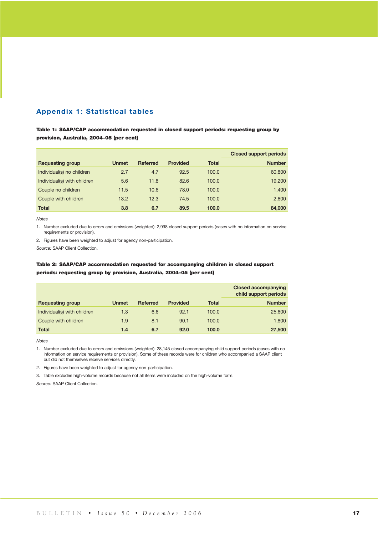## **Appendix 1: Statistical tables**

Table 1: SAAP/CAP accommodation requested in closed support periods: requesting group by provision, Australia, 2004–05 (per cent)

|                             |              |                 |                 |              | <b>Closed support periods</b> |
|-----------------------------|--------------|-----------------|-----------------|--------------|-------------------------------|
| <b>Requesting group</b>     | <b>Unmet</b> | <b>Referred</b> | <b>Provided</b> | <b>Total</b> | <b>Number</b>                 |
| Individual(s) no children   | 2.7          | 4.7             | 92.5            | 100.0        | 60,800                        |
| Individual(s) with children | 5.6          | 11.8            | 82.6            | 100.0        | 19,200                        |
| Couple no children          | 11.5         | 10.6            | 78.0            | 100.0        | 1,400                         |
| Couple with children        | 13.2         | 12.3            | 74.5            | 100.0        | 2,600                         |
| <b>Total</b>                | 3.8          | 6.7             | 89.5            | 100.0        | 84,000                        |

*Notes* 

1. Number excluded due to errors and omissions (weighted): 2,998 closed support periods (cases with no information on service requirements or provision).

2. Figures have been weighted to adjust for agency non-participation.

*Source:* SAAP Client Collection.

### Table 2: SAAP/CAP accommodation requested for accompanying children in closed support periods: requesting group by provision, Australia, 2004–05 (per cent)

|                             |              |                 |                 |              | <b>Closed accompanying</b><br>child support periods |
|-----------------------------|--------------|-----------------|-----------------|--------------|-----------------------------------------------------|
| <b>Requesting group</b>     | <b>Unmet</b> | <b>Referred</b> | <b>Provided</b> | <b>Total</b> | <b>Number</b>                                       |
| Individual(s) with children | 1.3          | 6.6             | 92.1            | 100.0        | 25,600                                              |
| Couple with children        | 1.9          | 8.1             | 90.1            | 100.0        | 1.800                                               |
| <b>Total</b>                | 1.4          | 6.7             | 92.0            | 100.0        | 27,500                                              |

*Notes*

1. Number excluded due to errors and omissions (weighted): 28,145 closed accompanying child support periods (cases with no information on service requirements or provision). Some of these records were for children who accompanied a SAAP client but did not themselves receive services directly.

2. Figures have been weighted to adjust for agency non-participation.

3. Table excludes high-volume records because not all items were included on the high-volume form.

*Source:* SAAP Client Collection.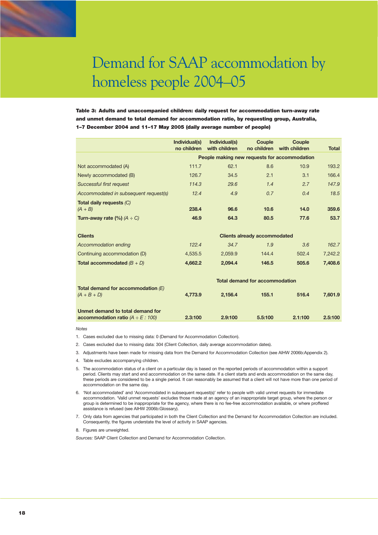Table 3: Adults and unaccompanied children: daily request for accommodation turn-away rate and unmet demand to total demand for accommodation ratio, by requesting group, Australia, 1–7 December 2004 and 11–17 May 2005 (daily average number of people)

|                                                                             | Individual(s)<br>no children          | Individual(s)<br>with children               | <b>Couple</b><br>no children        | Couple<br>with children | <b>Total</b> |  |  |  |
|-----------------------------------------------------------------------------|---------------------------------------|----------------------------------------------|-------------------------------------|-------------------------|--------------|--|--|--|
|                                                                             |                                       | People making new requests for accommodation |                                     |                         |              |  |  |  |
| Not accommodated (A)                                                        | 111.7                                 | 62.1                                         | 8.6                                 | 10.9                    | 193.2        |  |  |  |
| Newly accommodated (B)                                                      | 126.7                                 | 34.5                                         | 2.1                                 | 3.1                     | 166.4        |  |  |  |
| Successful first request                                                    | 114.3                                 | 29.6                                         | 1.4                                 | 2.7                     | 147.9        |  |  |  |
| Accommodated in subsequent request(s)                                       | 12.4                                  | 4.9                                          | 0.7                                 | 0.4                     | 18.5         |  |  |  |
| Total daily requests (C)<br>$(A + B)$                                       | 238.4                                 | 96.6                                         | 10.6                                | 14.0                    | 359.6        |  |  |  |
| Turn-away rate (%) $(A \div C)$                                             | 46.9                                  | 64.3                                         | 80.5                                | 77.6                    | 53.7         |  |  |  |
| <b>Clients</b>                                                              |                                       |                                              | <b>Clients already accommodated</b> |                         |              |  |  |  |
| Accommodation ending                                                        | 122.4                                 | 34.7                                         | 1.9                                 | 3.6                     | 162.7        |  |  |  |
| Continuing accommodation (D)                                                | 4,535.5                               | 2,059.9                                      | 144.4                               | 502.4                   | 7,242.2      |  |  |  |
| <b>Total accommodated</b> $(B + D)$                                         | 4,662.2                               | 2,094.4                                      | 146.5                               | 505.6                   | 7,408.6      |  |  |  |
|                                                                             | <b>Total demand for accommodation</b> |                                              |                                     |                         |              |  |  |  |
| Total demand for accommodation $(E)$<br>$(A + B + D)$                       | 4,773.9                               | 2,156.4                                      | 155.1                               | 516.4                   | 7,601.9      |  |  |  |
| Unmet demand to total demand for<br>accommodation ratio ( $A \div E$ : 100) | 2.3:100                               | 2.9:100                                      | 5.5:100                             | 2.1:100                 | 2.5:100      |  |  |  |

*Notes*

- 1. Cases excluded due to missing data: 0 (Demand for Accommodation Collection).
- 2. Cases excluded due to missing data: 304 (Client Collection, daily average accommodation dates).
- 3. Adjustments have been made for missing data from the Demand for Accommodation Collection (see AIHW 2006b:Appendix 2).
- 4. Table excludes accompanying children.
- 5. The accommodation status of a client on a particular day is based on the reported periods of accommodation within a support period. Clients may start and end accommodation on the same date. If a client starts and ends accommodation on the same day, these periods are considered to be a single period. It can reasonably be assumed that a client will not have more than one period of accommodation on the same day.
- 6. 'Not accommodated' and 'Accommodated in subsequent request(s)' refer to people with valid unmet requests for immediate accommodation. 'Valid unmet requests' excludes those made at an agency of an inappropriate target group, where the person or group is determined to be inappropriate for the agency, where there is no fee-free accommodation available, or where proffered assistance is refused (see AIHW 2006b:Glossary).
- 7. Only data from agencies that participated in both the Client Collection and the Demand for Accommodation Collection are included. Consequently, the figures understate the level of activity in SAAP agencies.
- 8. Figures are unweighted.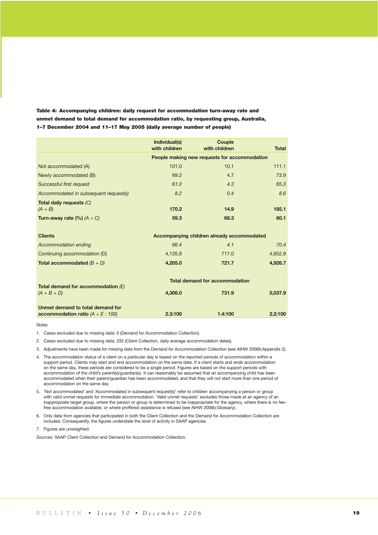Table 4: Accompanying children: daily request for accommodation turn-away rate and unmet demand to total demand for accommodation ratio, by requesting group, Australia, 1–7 December 2004 and 11–17 May 2005 (daily average number of people)

|                                         | Individual(s)<br>with children | <b>Couple</b><br>with children               | <b>Total</b> |
|-----------------------------------------|--------------------------------|----------------------------------------------|--------------|
|                                         |                                | People making new requests for accommodation |              |
| Not accommodated (A)                    | 101.0                          | 10.1                                         | 111.1        |
| Newly accommodated (B)                  | 69.2                           | 4.7                                          | 73.9         |
| <b>Successful first request</b>         | 61.0                           | 4.3                                          | 65.3         |
| Accommodated in subsequent request(s)   | 8.2                            | 0.4                                          | 8.6          |
| Total daily requests (C)<br>$(A + B)$   | 170.2                          | 14.9                                         | 185.1        |
| Turn-away rate (%) $(A \div C)$         | 59.3                           | 68.3                                         | 60.1         |
|                                         |                                |                                              |              |
| <b>Clients</b>                          |                                | Accompanying children already accommodated   |              |
| Accommodation ending                    | 66.4                           | 4.1                                          | 70.4         |
| Continuing accommodation (D)            | 4,135.8                        | 717.0                                        | 4,852.8      |
| Total accommodated $(B + D)$            | 4,205.0                        | 721.7                                        | 4,926.7      |
|                                         |                                | <b>Total demand for accommodation</b>        |              |
| Total demand for accommodation $(E)$    |                                |                                              |              |
| $(A + B + D)$                           | 4.306.0                        | 731.9                                        | 5,037.9      |
| Unmet demand to total demand for        |                                |                                              |              |
| accommodation ratio ( $A \div E$ : 100) | 2.3:100                        | 1.4:100                                      | 2.2:100      |

*Notes*

- 1. Cases excluded due to missing data: 0 (Demand for Accommodation Collection).
- 2. Cases excluded due to missing data: 235 (Client Collection, daily average accommodation dates).
- 3. Adjustments have been made for missing data from the Demand for Accommodation Collection (see AIHW 2006b:Appendix 2).
- 4. The accommodation status of a client on a particular day is based on the reported periods of accommodation within a support period. Clients may start and end accommodation on the same date. If a client starts and ends accommodation on the same day, these periods are considered to be a single period. Figures are based on the support periods with accommodation of the child's parent(s)/guardian(s). It can reasonably be assumed that an accompanying child has been accommodated when their parent/guardian has been accommodated, and that they will not start more than one period of accommodation on the same day.
- 5. 'Not accommodated' and 'Accommodated in subsequent request(s)' refer to children accompanying a person or group with valid unmet requests for immediate accommodation. 'Valid unmet requests' excludes those made at an agency of an inappropriate target group, where the person or group is determined to be inappropriate for the agency, where there is no feefree accommodation available, or where proffered assistance is refused (see AIHW 2006b:Glossary).
- 6. Only data from agencies that participated in both the Client Collection and the Demand for Accommodation Collection are included. Consequently, the figures understate the level of activity in SAAP agencies.
- 7. Figures are unweighted.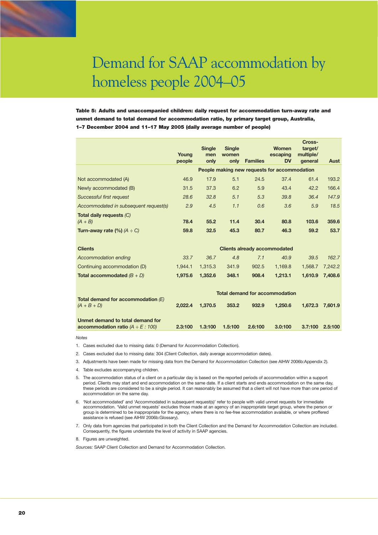Table 5: Adults and unaccompanied children: daily request for accommodation turn-away rate and unmet demand to total demand for accommodation ratio, by primary target group, Australia, 1–7 December 2004 and 11–17 May 2005 (daily average number of people)

|                                       | Young<br>people | <b>Single</b><br>men<br>only | <b>Single</b><br>women<br>only | <b>Families</b> | Women<br>escaping<br><b>DV</b>               | Cross-<br>target/<br>multiple/<br>general | Aust    |
|---------------------------------------|-----------------|------------------------------|--------------------------------|-----------------|----------------------------------------------|-------------------------------------------|---------|
|                                       |                 |                              |                                |                 | People making new requests for accommodation |                                           |         |
| Not accommodated (A)                  | 46.9            | 17.9                         | 5.1                            | 24.5            | 37.4                                         | 61.4                                      | 193.2   |
| Newly accommodated (B)                | 31.5            | 37.3                         | 6.2                            | 5.9             | 43.4                                         | 42.2                                      | 166.4   |
| <b>Successful first request</b>       | 28.6            | 32.8                         | 5.1                            | 5.3             | 39.8                                         | 36.4                                      | 147.9   |
| Accommodated in subsequent request(s) | 2.9             | 4.5                          | 1.1                            | 0.6             | 3.6                                          | 5.9                                       | 18.5    |
| Total daily requests (C)<br>$(A + B)$ | 78.4            | 55.2                         | 11.4                           | 30.4            | 80.8                                         | 103.6                                     | 359.6   |
| Turn-away rate $(\%)$ (A $\div$ C)    | 59.8            | 32.5                         | 45.3                           | 80.7            | 46.3                                         | 59.2                                      | 53.7    |
| <b>Clients</b>                        |                 |                              |                                |                 | <b>Clients already accommodated</b>          |                                           |         |
| Accommodation ending                  | 33.7            | 36.7                         | 4.8                            | 7.1             | 40.9                                         | 39.5                                      | 162.7   |
| Continuing accommodation (D)          | 1,944.1         | 1,315.3                      | 341.9                          | 902.5           | 1,169.8                                      | 1,568.7                                   | 7,242.2 |
| <b>Total accommodated</b> $(B + D)$   | 1,975.6         | 1,352.6                      | 348.1                          | 908.4           | 1,213.1                                      | 1,610.9                                   | 7,408.6 |
| Total demand for accommodation $(E)$  |                 |                              |                                |                 | <b>Total demand for accommodation</b>        |                                           |         |
| $(A + B + D)$                         | 2,022.4         | 1,370.5                      | 353.2                          | 932.9           | 1,250.6                                      | 1,672.3                                   | 7.601.9 |
| Unmet demand to total demand for      |                 |                              |                                |                 |                                              |                                           |         |

*Notes*

- 1. Cases excluded due to missing data: 0 (Demand for Accommodation Collection).
- 2. Cases excluded due to missing data: 304 (Client Collection, daily average accommodation dates).
- 3. Adjustments have been made for missing data from the Demand for Accommodation Collection (see AIHW 2006b:Appendix 2).

**accommodation ratio** *(A* ÷ *E : 100)* **2.3:100 1.3:100 1.5:100 2.6:100 3.0:100 3.7:100 2.5:100**

- 4. Table excludes accompanying children.
- 5. The accommodation status of a client on a particular day is based on the reported periods of accommodation within a support period. Clients may start and end accommodation on the same date. If a client starts and ends accommodation on the same day, these periods are considered to be a single period. It can reasonably be assumed that a client will not have more than one period of accommodation on the same day.
- 6. 'Not accommodated' and 'Accommodated in subsequent request(s)' refer to people with valid unmet requests for immediate accommodation. 'Valid unmet requests' excludes those made at an agency of an inappropriate target group, where the person or group is determined to be inappropriate for the agency, where there is no fee-free accommodation available, or where proffered assistance is refused (see AIHW 2006b:Glossary).
- 7. Only data from agencies that participated in both the Client Collection and the Demand for Accommodation Collection are included. Consequently, the figures understate the level of activity in SAAP agencies.
- 8. Figures are unweighted.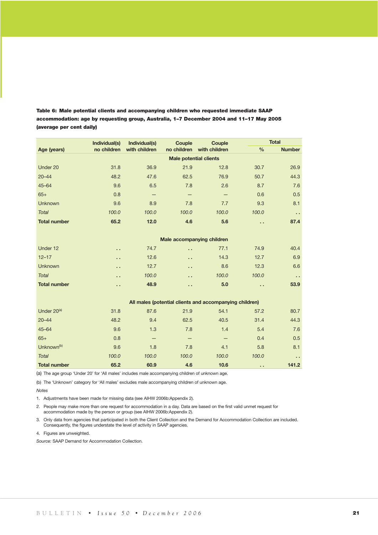|                         | Individual(s)<br>Individual(s)<br>Couple |                   | <b>Couple</b>        |                                                         |               | <b>Total</b>  |  |  |  |
|-------------------------|------------------------------------------|-------------------|----------------------|---------------------------------------------------------|---------------|---------------|--|--|--|
| Age (years)             | no children                              | with children     | no children          | with children                                           | $\frac{0}{0}$ | <b>Number</b> |  |  |  |
|                         | <b>Male potential clients</b>            |                   |                      |                                                         |               |               |  |  |  |
| Under 20                | 31.8                                     | 36.9              | 21.9                 | 12.8                                                    | 30.7          | 26.9          |  |  |  |
| $20 - 44$               | 48.2                                     | 47.6              | 62.5                 | 76.9                                                    | 50.7          | 44.3          |  |  |  |
| $45 - 64$               | 9.6                                      | 6.5               | 7.8                  | 2.6                                                     | 8.7           | 7.6           |  |  |  |
| $65+$                   | 0.8                                      | $\qquad \qquad -$ | $\qquad \qquad -$    | $\qquad \qquad -$                                       | 0.6           | 0.5           |  |  |  |
| <b>Unknown</b>          | 9.6                                      | 8.9               | 7.8                  | 7.7                                                     | 9.3           | 8.1           |  |  |  |
| <b>Total</b>            | 100.0                                    | 100.0             | 100.0                | 100.0                                                   | 100.0         | и.            |  |  |  |
| <b>Total number</b>     | 65.2                                     | 12.0              | 4.6                  | 5.6                                                     | н.            | 87.4          |  |  |  |
|                         |                                          |                   |                      |                                                         |               |               |  |  |  |
|                         | Male accompanying children               |                   |                      |                                                         |               |               |  |  |  |
| Under 12                | а.                                       | 74.7              | н.                   | 77.1                                                    | 74.9          | 40.4          |  |  |  |
| $12 - 17$               | . .                                      | 12.6              | $\ddot{\phantom{1}}$ | 14.3                                                    | 12.7          | 6.9           |  |  |  |
| <b>Unknown</b>          | и.                                       | 12.7              | г.                   | 8.6                                                     | 12.3          | 6.6           |  |  |  |
| <b>Total</b>            | н.                                       | 100.0             | $\ddot{\phantom{a}}$ | 100.0                                                   | 100.0         | н.            |  |  |  |
| <b>Total number</b>     | н.                                       | 48.9              | $\ddot{\phantom{1}}$ | 5.0                                                     | а.            | 53.9          |  |  |  |
|                         |                                          |                   |                      |                                                         |               |               |  |  |  |
|                         |                                          |                   |                      | All males (potential clients and accompanying children) |               |               |  |  |  |
| Under 20 <sup>(a)</sup> | 31.8                                     | 87.6              | 21.9                 | 54.1                                                    | 57.2          | 80.7          |  |  |  |
| $20 - 44$               | 48.2                                     | 9.4               | 62.5                 | 40.5                                                    | 31.4          | 44.3          |  |  |  |
| $45 - 64$               | 9.6                                      | 1.3               | 7.8                  | 1.4                                                     | 5.4           | 7.6           |  |  |  |
| $65+$                   | 0.8                                      |                   |                      |                                                         | 0.4           | 0.5           |  |  |  |
| Unknown <sup>(b)</sup>  | 9.6                                      | 1.8               | 7.8                  | 4.1                                                     | 5.8           | 8.1           |  |  |  |
| <b>Total</b>            | 100.0                                    | 100.0             | 100.0                | 100.0                                                   | 100.0         | а,            |  |  |  |
| <b>Total number</b>     | 65.2                                     | 60.9              | 4.6                  | 10.6                                                    | . .           | 141.2         |  |  |  |

Table 6: Male potential clients and accompanying children who requested immediate SAAP accommodation: age by requesting group, Australia, 1–7 December 2004 and 11–17 May 2005 (average per cent daily)

(a) The age group 'Under 20' for 'All males' includes male accompanying children of unknown age.

(b) The 'Unknown' category for 'All males' excludes male accompanying children of unknown age.

*Notes*

1. Adjustments have been made for missing data (see AIHW 2006b:Appendix 2).

2. People may make more than one request for accommodation in a day. Data are based on the first valid unmet request for accommodation made by the person or group (see AIHW 2006b:Appendix 2).

3. Only data from agencies that participated in both the Client Collection and the Demand for Accommodation Collection are included. Consequently, the figures understate the level of activity in SAAP agencies.

4. Figures are unweighted.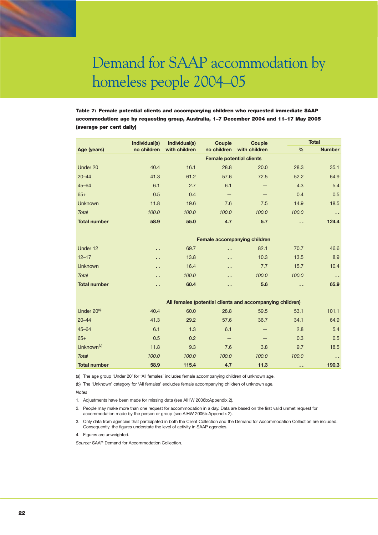Table 7: Female potential clients and accompanying children who requested immediate SAAP accommodation: age by requesting group, Australia, 1–7 December 2004 and 11–17 May 2005 (average per cent daily)

|                         | Individual(s) | Individual(s) | <b>Couple</b>                                             | <b>Couple</b> |                      | <b>Total</b>  |
|-------------------------|---------------|---------------|-----------------------------------------------------------|---------------|----------------------|---------------|
| Age (years)             | no children   | with children | no children                                               | with children | $\frac{0}{0}$        | <b>Number</b> |
|                         |               |               | <b>Female potential clients</b>                           |               |                      |               |
| Under 20                | 40.4          | 16.1          | 28.8                                                      | 20.0          | 28.3                 | 35.1          |
| $20 - 44$               | 41.3          | 61.2          | 57.6                                                      | 72.5          | 52.2                 | 64.9          |
| $45 - 64$               | 6.1           | 2.7           | 6.1                                                       |               | 4.3                  | 5.4           |
| $65+$                   | 0.5           | 0.4           |                                                           |               | 0.4                  | 0.5           |
| <b>Unknown</b>          | 11.8          | 19.6          | 7.6                                                       | 7.5           | 14.9                 | 18.5          |
| <b>Total</b>            | 100.0         | 100.0         | 100.0                                                     | 100.0         | 100.0                | и.            |
| <b>Total number</b>     | 58.9          | 55.0          | 4.7                                                       | 5.7           | $\ddot{\phantom{1}}$ | 124.4         |
|                         |               |               |                                                           |               |                      |               |
|                         |               |               | Female accompanying children                              |               |                      |               |
| Under 12                | а,            | 69.7          | г.                                                        | 82.1          | 70.7                 | 46.6          |
| $12 - 17$               | а,            | 13.8          | и.                                                        | 10.3          | 13.5                 | 8.9           |
| <b>Unknown</b>          | а,            | 16.4          | г.                                                        | 7.7           | 15.7                 | 10.4          |
| <b>Total</b>            | . .           | 100.0         | г.                                                        | 100.0         | 100.0                | и.            |
| <b>Total number</b>     | а,            | 60.4          | г.                                                        | 5.6           | $\ddot{\phantom{1}}$ | 65.9          |
|                         |               |               |                                                           |               |                      |               |
|                         |               |               | All females (potential clients and accompanying children) |               |                      |               |
| Under 20 <sup>(a)</sup> | 40.4          | 60.0          | 28.8                                                      | 59.5          | 53.1                 | 101.1         |
| $20 - 44$               | 41.3          | 29.2          | 57.6                                                      | 36.7          | 34.1                 | 64.9          |
| $45 - 64$               | 6.1           | 1.3           | 6.1                                                       |               | 2.8                  | 5.4           |
| $65+$                   | 0.5           | 0.2           | —                                                         |               | 0.3                  | 0.5           |
| Unknown <sup>(b)</sup>  | 11.8          | 9.3           | 7.6                                                       | 3.8           | 9.7                  | 18.5          |
| <b>Total</b>            | 100.0         | 100.0         | 100.0                                                     | 100.0         | 100.0                | $\sim$        |

(a) The age group 'Under 20' for 'All females' includes female accompanying children of unknown age.

(b) The 'Unknown' category for 'All females' excludes female accompanying children of unknown age.

*Notes*

1. Adjustments have been made for missing data (see AIHW 2006b:Appendix 2).

2. People may make more than one request for accommodation in a day. Data are based on the first valid unmet request for accommodation made by the person or group (see AIHW 2006b:Appendix 2).

3. Only data from agencies that participated in both the Client Collection and the Demand for Accommodation Collection are included. Consequently, the figures understate the level of activity in SAAP agencies.

**Total number 58.9 115.4 4.7 11.3 . . 190.3**

4. Figures are unweighted.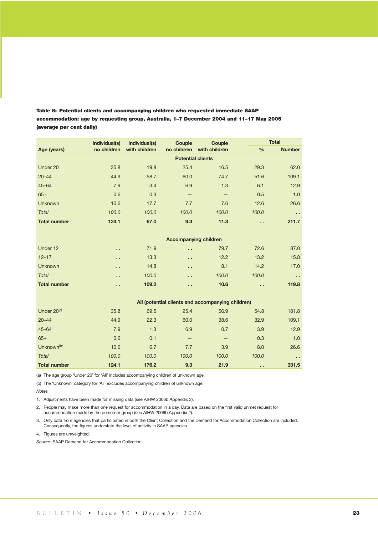|                         | Individual(s) | Individual(s)<br>Couple<br><b>Couple</b> |                              |                                                   | <b>Total</b>         |                      |  |  |
|-------------------------|---------------|------------------------------------------|------------------------------|---------------------------------------------------|----------------------|----------------------|--|--|
| Age (years)             | no children   | with children                            | no children                  | with children                                     | $\frac{0}{0}$        | <b>Number</b>        |  |  |
|                         |               | <b>Potential clients</b>                 |                              |                                                   |                      |                      |  |  |
| Under 20                | 35.8          | 19.8                                     | 25.4                         | 16.5                                              | 29.3                 | 62.0                 |  |  |
| $20 - 44$               | 44.9          | 58.7                                     | 60.0                         | 74.7                                              | 51.6                 | 109.1                |  |  |
| $45 - 64$               | 7.9           | 3.4                                      | 6.9                          | 1.3                                               | 6.1                  | 12.9                 |  |  |
| $65+$                   | 0.6           | 0.3                                      | -                            | $\qquad \qquad -$                                 | 0.5                  | 1.0                  |  |  |
| <b>Unknown</b>          | 10.6          | 17.7                                     | 7.7                          | 7.6                                               | 12.6                 | 26.6                 |  |  |
| <b>Total</b>            | 100.0         | 100.0                                    | 100.0                        | 100.0                                             | 100.0                | $\ddot{\phantom{1}}$ |  |  |
| <b>Total number</b>     | 124.1         | 67.0                                     | 9.3                          | 11.3                                              | и.                   | 211.7                |  |  |
|                         |               |                                          |                              |                                                   |                      |                      |  |  |
|                         |               |                                          | <b>Accompanying children</b> |                                                   |                      |                      |  |  |
| Under 12                | . .           | 71.9                                     | . .                          | 79.7                                              | 72.6                 | 87.0                 |  |  |
| $12 - 17$               | .,            | 13.3                                     | и.                           | 12.2                                              | 13.2                 | 15.8                 |  |  |
| <b>Unknown</b>          | н.            | 14.8                                     | а,                           | 8.1                                               | 14.2                 | 17.0                 |  |  |
| <b>Total</b>            | а,            | 100.0                                    | $\ddot{\phantom{1}}$         | 100.0                                             | 100.0                | $\sim$ $\sim$        |  |  |
| <b>Total number</b>     | . .           | 109.2                                    | . .                          | 10.6                                              | $\ddot{\phantom{1}}$ | 119.8                |  |  |
|                         |               |                                          |                              |                                                   |                      |                      |  |  |
|                         |               |                                          |                              | All (potential clients and accompanying children) |                      |                      |  |  |
| Under 20 <sup>(a)</sup> | 35.8          | 69.5                                     | 25.4                         | 56.9                                              | 54.8                 | 181.8                |  |  |
| $20 - 44$               | 44.9          | 22.3                                     | 60.0                         | 38.6                                              | 32.9                 | 109.1                |  |  |
| $45 - 64$               | 7.9           | 1.3                                      | 6.9                          | 0.7                                               | 3.9                  | 12.9                 |  |  |
| $65+$                   | 0.6           | 0.1                                      | $\qquad \qquad -$            | $\qquad \qquad -$                                 | 0.3                  | 1.0                  |  |  |
| Unknown <sup>(b)</sup>  | 10.6          | 6.7                                      | 7.7                          | 3.9                                               | 8.0                  | 26.6                 |  |  |
| <b>Total</b>            | 100.0         | 100.0                                    | 100.0                        | 100.0                                             | 100.0                | $\sim$               |  |  |
| <b>Total number</b>     | 124.1         | 176.2                                    | 9.3                          | 21.9                                              | $\ddot{\phantom{1}}$ | 331.5                |  |  |

Table 8: Potential clients and accompanying children who requested immediate SAAP accommodation: age by requesting group, Australia, 1–7 December 2004 and 11–17 May 2005 (average per cent daily)

(a) The age group 'Under 20' for 'All' includes accompanying children of unknown age.

(b) The 'Unknown' category for 'All' excludes accompanying children of unknown age.

*Notes*

1. Adjustments have been made for missing data (see AIHW 2006b:Appendix 2).

2. People may make more than one request for accommodation in a day. Data are based on the first valid unmet request for accommodation made by the person or group (see AIHW 2006b:Appendix 2).

3. Only data from agencies that participated in both the Client Collection and the Demand for Accommodation Collection are included. Consequently, the figures understate the level of activity in SAAP agencies.

4. Figures are unweighted.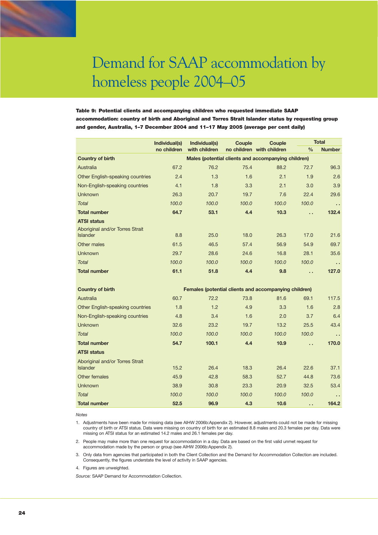Table 9: Potential clients and accompanying children who requested immediate SAAP accommodation: country of birth and Aboriginal and Torres Strait Islander status by requesting group and gender, Australia, 1–7 December 2004 and 11–17 May 2005 (average per cent daily)

|                                  | Individual(s)                                       | Individual(s)                                         | Couple | Couple                    |               | <b>Total</b>  |  |  |
|----------------------------------|-----------------------------------------------------|-------------------------------------------------------|--------|---------------------------|---------------|---------------|--|--|
|                                  | no children                                         | with children                                         |        | no children with children | $\frac{0}{0}$ | <b>Number</b> |  |  |
| <b>Country of birth</b>          | Males (potential clients and accompanying children) |                                                       |        |                           |               |               |  |  |
| Australia                        | 67.2                                                | 76.2                                                  | 75.4   | 88.2                      | 72.7          | 96.3          |  |  |
| Other English-speaking countries | 2.4                                                 | 1.3                                                   | 1.6    | 2.1                       | 1.9           | 2.6           |  |  |
| Non-English-speaking countries   | 4.1                                                 | 1.8                                                   | 3.3    | 2.1                       | 3.0           | 3.9           |  |  |
| <b>Unknown</b>                   | 26.3                                                | 20.7                                                  | 19.7   | 7.6                       | 22.4          | 29.6          |  |  |
| <b>Total</b>                     | 100.0                                               | 100.0                                                 | 100.0  | 100.0                     | 100.0         | н.            |  |  |
| <b>Total number</b>              | 64.7                                                | 53.1                                                  | 4.4    | 10.3                      | г.            | 132.4         |  |  |
| <b>ATSI status</b>               |                                                     |                                                       |        |                           |               |               |  |  |
| Aboriginal and/or Torres Strait  |                                                     |                                                       |        |                           |               |               |  |  |
| <b>Islander</b>                  | 8.8                                                 | 25.0                                                  | 18.0   | 26.3                      | 17.0          | 21.6          |  |  |
| Other males                      | 61.5                                                | 46.5                                                  | 57.4   | 56.9                      | 54.9          | 69.7          |  |  |
| <b>Unknown</b>                   | 29.7                                                | 28.6                                                  | 24.6   | 16.8                      | 28.1          | 35.6          |  |  |
| <b>Total</b>                     | 100.0                                               | 100.0                                                 | 100.0  | 100.0                     | 100.0         | а,            |  |  |
| <b>Total number</b>              | 61.1                                                | 51.8                                                  | 4.4    | 9.8                       | .,            | 127.0         |  |  |
|                                  |                                                     |                                                       |        |                           |               |               |  |  |
| <b>Country of birth</b>          |                                                     | Females (potential clients and accompanying children) |        |                           |               |               |  |  |
| Australia                        | 60.7                                                | 72.2                                                  | 73.8   | 81.6                      | 69.1          | 117.5         |  |  |
| Other English-speaking countries | 1.8                                                 | 1.2                                                   | 4.9    | 3.3                       | 1.6           | 2.8           |  |  |
| Non-English-speaking countries   | 4.8                                                 | 3.4                                                   | 1.6    | 2.0                       | 3.7           | 6.4           |  |  |
| Unknown                          | 32.6                                                | 23.2                                                  | 19.7   | 13.2                      | 25.5          | 43.4          |  |  |
| Total                            | 100.0                                               | 100.0                                                 | 100.0  | 100.0                     | 100.0         | а,            |  |  |
| <b>Total number</b>              | 54.7                                                | 100.1                                                 | 4.4    | 10.9                      | г.            | 170.0         |  |  |
| <b>ATSI status</b>               |                                                     |                                                       |        |                           |               |               |  |  |
| Aboriginal and/or Torres Strait  |                                                     |                                                       |        |                           |               |               |  |  |
| <b>Islander</b>                  | 15.2                                                | 26.4                                                  | 18.3   | 26.4                      | 22.6          | 37.1          |  |  |
| Other females                    | 45.9                                                | 42.8                                                  | 58.3   | 52.7                      | 44.8          | 73.6          |  |  |
| <b>Unknown</b>                   | 38.9                                                | 30.8                                                  | 23.3   | 20.9                      | 32.5          | 53.4          |  |  |
| <b>Total</b>                     | 100.0                                               | 100.0                                                 | 100.0  | 100.0                     | 100.0         | и.            |  |  |
| <b>Total number</b>              | 52.5                                                | 96.9                                                  | 4.3    | 10.6                      | н.            | 164.2         |  |  |

*Notes*

1. Adjustments have been made for missing data (see AIHW 2006b:Appendix 2). However, adjustments could not be made for missing country of birth or ATSI status. Data were missing on country of birth for an estimated 8.8 males and 20.3 females per day. Data were missing on ATSI status for an estimated 14.2 males and 26.1 females per day.

2. People may make more than one request for accommodation in a day. Data are based on the first valid unmet request for accommodation made by the person or group (see AIHW 2006b:Appendix 2).

3. Only data from agencies that participated in both the Client Collection and the Demand for Accommodation Collection are included. Consequently, the figures understate the level of activity in SAAP agencies.

4. Figures are unweighted.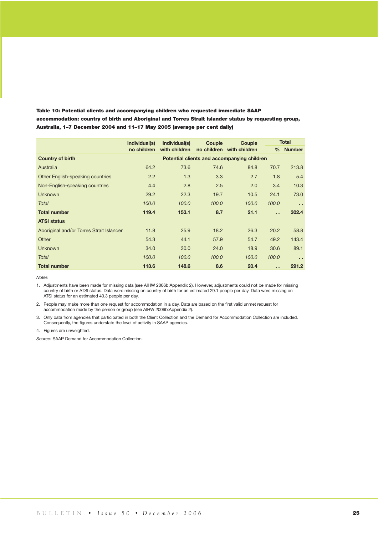| Table 10: Potential clients and accompanying children who reguested immediate SAAP                    |
|-------------------------------------------------------------------------------------------------------|
| accommodation: country of birth and Aboriginal and Torres Strait Islander status by reguesting group. |
| Australia. 1–7 December 2004 and 11–17 May 2005 (average per cent daily)                              |

|                                          | Individual(s) | Individual(s) | Couple | Couple                                      |                      | <b>Total</b> |
|------------------------------------------|---------------|---------------|--------|---------------------------------------------|----------------------|--------------|
|                                          | no children   | with children |        | no children with children                   |                      | % Number     |
| <b>Country of birth</b>                  |               |               |        | Potential clients and accompanying children |                      |              |
| Australia                                | 64.2          | 73.6          | 74.6   | 84.8                                        | 70.7                 | 213.8        |
| Other English-speaking countries         | 2.2           | 1.3           | 3.3    | 2.7                                         | 1.8                  | 5.4          |
| Non-English-speaking countries           | 4.4           | 2.8           | 2.5    | 2.0                                         | 3.4                  | 10.3         |
| <b>Unknown</b>                           | 29.2          | 22.3          | 19.7   | 10.5                                        | 24.1                 | 73.0         |
| Total                                    | 100.0         | 100.0         | 100.0  | 100.0                                       | 100.0                | $\sim$       |
| <b>Total number</b>                      | 119.4         | 153.1         | 8.7    | 21.1                                        | $\ddot{\phantom{0}}$ | 302.4        |
| <b>ATSI status</b>                       |               |               |        |                                             |                      |              |
| Aboriginal and/or Torres Strait Islander | 11.8          | 25.9          | 18.2   | 26.3                                        | 20.2                 | 58.8         |
| Other                                    | 54.3          | 44.1          | 57.9   | 54.7                                        | 49.2                 | 143.4        |
| <b>Unknown</b>                           | 34.0          | 30.0          | 24.0   | 18.9                                        | 30.6                 | 89.1         |
| Total                                    | 100.0         | 100.0         | 100.0  | 100.0                                       | 100.0                | $\sim$       |
| <b>Total number</b>                      | 113.6         | 148.6         | 8.6    | 20.4                                        | . .                  | 291.2        |

*Notes*

1. Adjustments have been made for missing data (see AIHW 2006b:Appendix 2). However, adjustments could not be made for missing country of birth or ATSI status. Data were missing on country of birth for an estimated 29.1 people per day. Data were missing on ATSI status for an estimated 40.3 people per day.

2. People may make more than one request for accommodation in a day. Data are based on the first valid unmet request for accommodation made by the person or group (see AIHW 2006b:Appendix 2).

3. Only data from agencies that participated in both the Client Collection and the Demand for Accommodation Collection are included. Consequently, the figures understate the level of activity in SAAP agencies.

4. Figures are unweighted.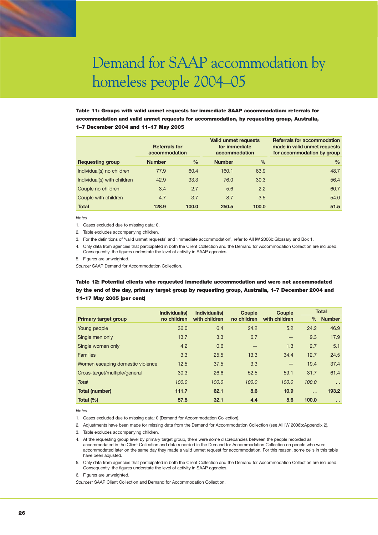Table 11: Groups with valid unmet requests for immediate SAAP accommodation: referrals for accommodation and valid unmet requests for accommodation, by requesting group, Australia, 1–7 December 2004 and 11–17 May 2005

|                             | <b>Referrals for</b><br>accommodation |               | <b>Valid unmet requests</b><br>for immediate<br>accommodation |               | <b>Referrals for accommodation</b><br>made in valid unmet requests<br>for accommodation by group |  |
|-----------------------------|---------------------------------------|---------------|---------------------------------------------------------------|---------------|--------------------------------------------------------------------------------------------------|--|
| <b>Requesting group</b>     | <b>Number</b>                         | $\frac{0}{0}$ | <b>Number</b>                                                 | $\frac{0}{0}$ | $\%$                                                                                             |  |
| Individual(s) no children   | 77.9                                  | 60.4          | 160.1                                                         | 63.9          | 48.7                                                                                             |  |
| Individual(s) with children | 42.9                                  | 33.3          | 76.0                                                          | 30.3          | 56.4                                                                                             |  |
| Couple no children          | 3.4                                   | 2.7           | 5.6                                                           | 2.2           | 60.7                                                                                             |  |
| Couple with children        | 4.7                                   | 3.7           | 8.7                                                           | 3.5           | 54.0                                                                                             |  |
| <b>Total</b>                | 128.9                                 | 100.0         | 250.5                                                         | 100.0         | 51.5                                                                                             |  |

*Notes*

1. Cases excluded due to missing data: 0.

2. Table excludes accompanying children.

3. For the definitions of 'valid unmet requests' and 'immediate accommodation', refer to AIHW 2006b:Glossary and Box 1.

4. Only data from agencies that participated in both the Client Collection and the Demand for Accommodation Collection are included. Consequently, the figures understate the level of activity in SAAP agencies.

5. Figures are unweighted.

*Source:* SAAP Demand for Accommodation Collection.

## Table 12: Potential clients who requested immediate accommodation and were not accommodated by the end of the day, primary target group by requesting group, Australia, 1–7 December 2004 and 11–17 May 2005 (per cent)

|                                  | Individual(s) | Individual(s) | Couple      | Couple            |               | <b>Total</b>  |  |
|----------------------------------|---------------|---------------|-------------|-------------------|---------------|---------------|--|
| <b>Primary target group</b>      | no children   | with children | no children | with children     | $\frac{0}{0}$ | <b>Number</b> |  |
| Young people                     | 36.0          | 6.4           | 24.2        | 5.2               | 24.2          | 46.9          |  |
| Single men only                  | 13.7          | 3.3           | 6.7         | -                 | 9.3           | 17.9          |  |
| Single women only                | 4.2           | 0.6           | –           | 1.3               | 2.7           | 5.1           |  |
| <b>Families</b>                  | 3.3           | 25.5          | 13.3        | 34.4              | 12.7          | 24.5          |  |
| Women escaping domestic violence | 12.5          | 37.5          | 3.3         | $\qquad \qquad -$ | 19.4          | 37.4          |  |
| Cross-target/multiple/general    | 30.3          | 26.6          | 52.5        | 59.1              | 31.7          | 61.4          |  |
| <b>Total</b>                     | 100.0         | 100.0         | 100.0       | 100.0             | 100.0         | $\sim$        |  |
| <b>Total (number)</b>            | 111.7         | 62.1          | 8.6         | 10.9              | $\sim$        | 193.2         |  |
| Total $(%)$                      | 57.8          | 32.1          | 4.4         | 5.6               | 100.0         | $\sim$        |  |

*Notes*

1. Cases excluded due to missing data: 0 (Demand for Accommodation Collection).

2. Adjustments have been made for missing data from the Demand for Accommodation Collection (see AIHW 2006b:Appendix 2).

3. Table excludes accompanying children.

4. At the requesting group level by primary target group, there were some discrepancies between the people recorded as accommodated in the Client Collection and data recorded in the Demand for Accommodation Collection on people who were accommodated later on the same day they made a valid unmet request for accommodation. For this reason, some cells in this table have been adjusted.

5. Only data from agencies that participated in both the Client Collection and the Demand for Accommodation Collection are included. Consequently, the figures understate the level of activity in SAAP agencies.

6. Figures are unweighted.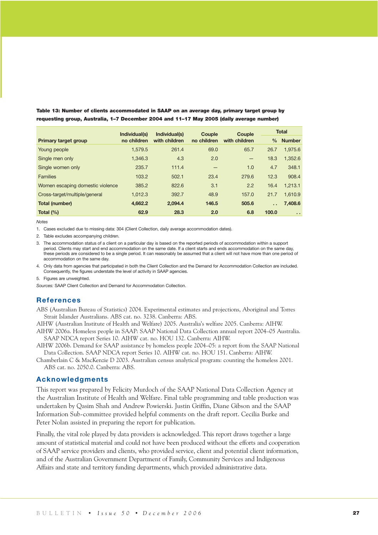|                                  | Individual(s) | Individual(s) | Couple      | Couple        |                      | <b>Total</b>  |  |
|----------------------------------|---------------|---------------|-------------|---------------|----------------------|---------------|--|
| <b>Primary target group</b>      | no children   | with children | no children | with children | $\frac{0}{0}$        | <b>Number</b> |  |
| Young people                     | 1.579.5       | 261.4         | 69.0        | 65.7          | 26.7                 | 1.975.6       |  |
| Single men only                  | 1.346.3       | 4.3           | 2.0         | $-$           | 18.3                 | 1.352.6       |  |
| Single women only                | 235.7         | 111.4         | -           | 1.0           | 4.7                  | 348.1         |  |
| <b>Families</b>                  | 103.2         | 502.1         | 23.4        | 279.6         | 12.3                 | 908.4         |  |
| Women escaping domestic violence | 385.2         | 822.6         | 3.1         | 2.2           | 16.4                 | 1.213.1       |  |
| Cross-target/multiple/general    | 1.012.3       | 392.7         | 48.9        | 157.0         | 21.7                 | 1.610.9       |  |
| <b>Total (number)</b>            | 4.662.2       | 2.094.4       | 146.5       | 505.6         | $\ddot{\phantom{a}}$ | 7,408.6       |  |
| Total $(%)$                      | 62.9          | 28.3          | 2.0         | 6.8           | 100.0                | $\sim$        |  |

Table 13: Number of clients accommodated in SAAP on an average day, primary target group by requesting group, Australia, 1–7 December 2004 and 11–17 May 2005 (daily average number)

*Notes*

1. Cases excluded due to missing data: 304 (Client Collection, daily average accommodation dates).

2. Table excludes accompanying children.

3. The accommodation status of a client on a particular day is based on the reported periods of accommodation within a support period. Clients may start and end accommodation on the same date. If a client starts and ends accommodation on the same day, these periods are considered to be a single period. It can reasonably be assumed that a client will not have more than one period of accommodation on the same day.

4. Only data from agencies that participated in both the Client Collection and the Demand for Accommodation Collection are included. Consequently, the figures understate the level of activity in SAAP agencies.

5. Figures are unweighted.

*Sources:* SAAP Client Collection and Demand for Accommodation Collection.

## **References**

ABS (Australian Bureau of Statistics) 2004. Experimental estimates and projections, Aboriginal and Torres Strait Islander Australians. ABS cat. no. 3238. Canberra: ABS.

AIHW (Australian Institute of Health and Welfare) 2005. Australia's welfare 2005. Canberra: AIHW.

AIHW 2006a. Homeless people in SAAP: SAAP National Data Collection annual report 2004–05 Australia. SAAP NDCA report Series 10. AIHW cat. no. HOU 132. Canberra: AIHW.

AIHW 2006b. Demand for SAAP assistance by homeless people 2004–05: a report from the SAAP National Data Collection. SAAP NDCA report Series 10. AIHW cat. no. HOU 151. Canberra: AIHW.

Chamberlain C & MacKenzie D 2003. Australian census analytical program: counting the homeless 2001. ABS cat. no. 2050.0. Canberra: ABS.

### **Acknowledgments**

This report was prepared by Felicity Murdoch of the SAAP National Data Collection Agency at the Australian Institute of Health and Welfare. Final table programming and table production was undertaken by Qasim Shah and Andrew Powierski. Justin Griffin, Diane Gibson and the SAAP Information Sub-committee provided helpful comments on the draft report. Cecilia Burke and Peter Nolan assisted in preparing the report for publication.

Finally, the vital role played by data providers is acknowledged. This report draws together a large amount of statistical material and could not have been produced without the efforts and cooperation of SAAP service providers and clients, who provided service, client and potential client information, and of the Australian Government Department of Family, Community Services and Indigenous Affairs and state and territory funding departments, which provided administrative data.